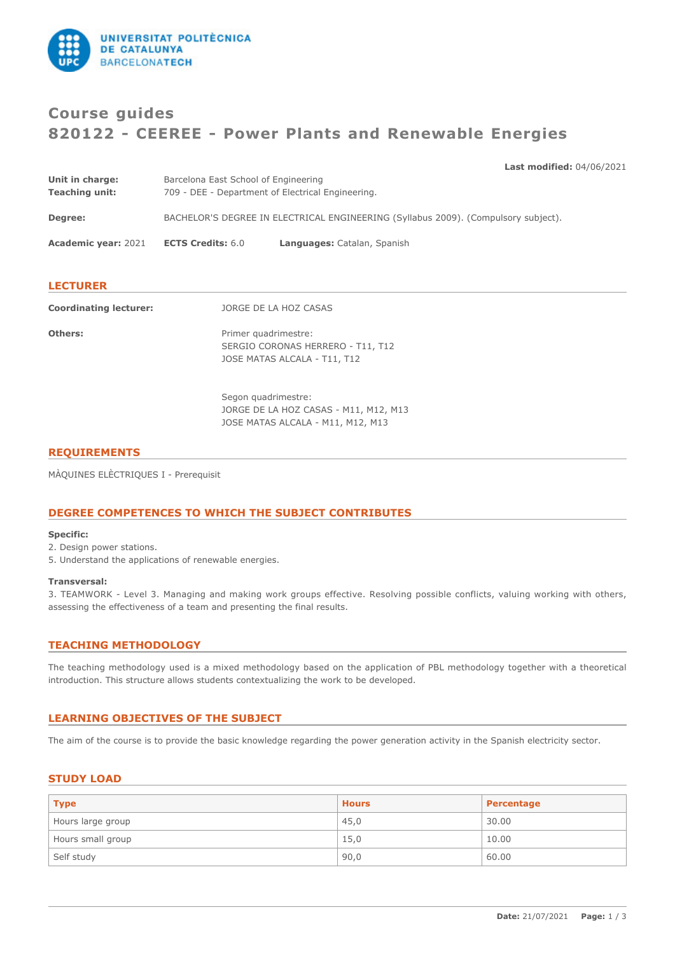

# **Course guides 820122 - CEEREE - Power Plants and Renewable Energies**

|  | <b>Last modified: 04/06/2021</b> |
|--|----------------------------------|
|  |                                  |

| Unit in charge:               | Barcelona East School of Engineering                                               |                                                                                           |  |
|-------------------------------|------------------------------------------------------------------------------------|-------------------------------------------------------------------------------------------|--|
| <b>Teaching unit:</b>         | 709 - DEE - Department of Electrical Engineering.                                  |                                                                                           |  |
| Degree:                       | BACHELOR'S DEGREE IN ELECTRICAL ENGINEERING (Syllabus 2009). (Compulsory subject). |                                                                                           |  |
| <b>Academic year: 2021</b>    | <b>ECTS Credits: 6.0</b>                                                           | Languages: Catalan, Spanish                                                               |  |
|                               |                                                                                    |                                                                                           |  |
| <b>LECTURER</b>               |                                                                                    |                                                                                           |  |
| <b>Coordinating lecturer:</b> | JORGE DE LA HOZ CASAS                                                              |                                                                                           |  |
| Others:                       |                                                                                    | Primer quadrimestre:<br>SERGIO CORONAS HERRERO - T11, T12<br>JOSE MATAS ALCALA - T11, T12 |  |
|                               |                                                                                    |                                                                                           |  |

Segon quadrimestre: JORGE DE LA HOZ CASAS - M11, M12, M13 JOSE MATAS ALCALA - M11, M12, M13

# **REQUIREMENTS**

MÀQUINES ELÈCTRIQUES I - Prerequisit

# **DEGREE COMPETENCES TO WHICH THE SUBJECT CONTRIBUTES**

### **Specific:**

2. Design power stations.

5. Understand the applications of renewable energies.

### **Transversal:**

3. TEAMWORK - Level 3. Managing and making work groups effective. Resolving possible conflicts, valuing working with others, assessing the effectiveness of a team and presenting the final results.

# **TEACHING METHODOLOGY**

The teaching methodology used is a mixed methodology based on the application of PBL methodology together with a theoretical introduction. This structure allows students contextualizing the work to be developed.

# **LEARNING OBJECTIVES OF THE SUBJECT**

The aim of the course is to provide the basic knowledge regarding the power generation activity in the Spanish electricity sector.

# **STUDY LOAD**

| <b>Type</b>       | <b>Hours</b> | Percentage |
|-------------------|--------------|------------|
| Hours large group | 45,0         | 30.00      |
| Hours small group | 15,0         | 10.00      |
| Self study        | 90,0         | 60.00      |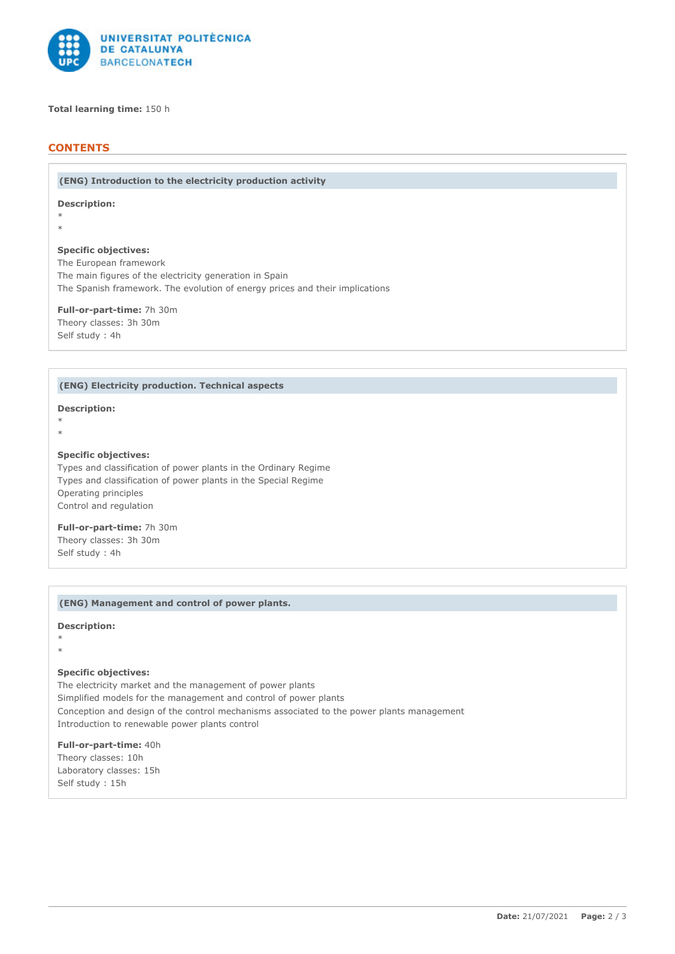

### **Total learning time:** 150 h

# **CONTENTS**

**(ENG) Introduction to the electricity production activity**

**Description:**

\* \*

### **Specific objectives:**

The European framework The main figures of the electricity generation in Spain The Spanish framework. The evolution of energy prices and their implications

**Full-or-part-time:** 7h 30m Theory classes: 3h 30m Self study : 4h

### **(ENG) Electricity production. Technical aspects**

#### **Description:**

\* \*

### **Specific objectives:**

Types and classification of power plants in the Ordinary Regime Types and classification of power plants in the Special Regime Operating principles Control and regulation

**Full-or-part-time:** 7h 30m Theory classes: 3h 30m Self study : 4h

### **(ENG) Management and control of power plants.**

# **Description:**

\*

\*

# **Specific objectives:**

The electricity market and the management of power plants Simplified models for the management and control of power plants Conception and design of the control mechanisms associated to the power plants management Introduction to renewable power plants control

**Full-or-part-time:** 40h Theory classes: 10h Laboratory classes: 15h Self study : 15h